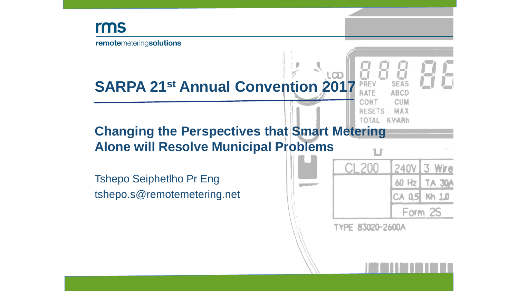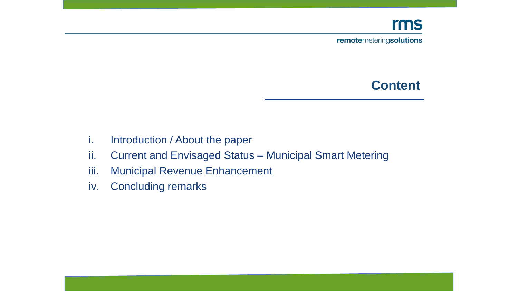#### rms

remotemeteringsolutions

#### **Content**

- i. Introduction / About the paper
- ii. Current and Envisaged Status Municipal Smart Metering
- iii. Municipal Revenue Enhancement
- iv. Concluding remarks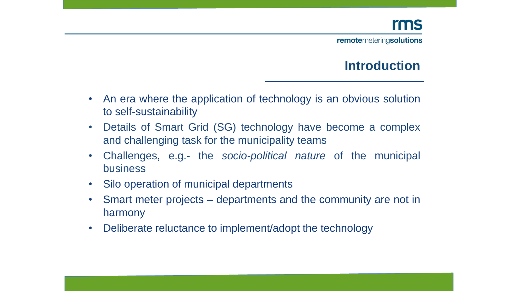#### **Introduction**

- An era where the application of technology is an obvious solution to self-sustainability
- Details of Smart Grid (SG) technology have become a complex and challenging task for the municipality teams
- Challenges, e.g.- the *socio-political nature* of the municipal business
- Silo operation of municipal departments
- Smart meter projects departments and the community are not in harmony
- Deliberate reluctance to implement/adopt the technology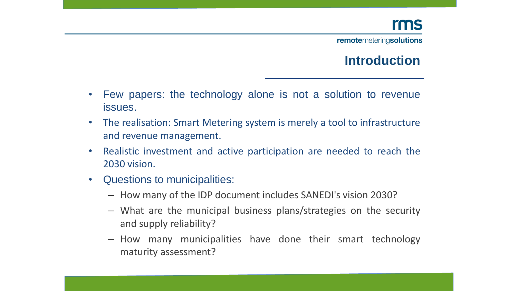#### **Introduction**

- Few papers: the technology alone is not a solution to revenue issues.
- The realisation: Smart Metering system is merely a tool to infrastructure and revenue management.
- Realistic investment and active participation are needed to reach the 2030 vision.
- Questions to municipalities:
	- How many of the IDP document includes SANEDI's vision 2030?
	- What are the municipal business plans/strategies on the security and supply reliability?
	- How many municipalities have done their smart technology maturity assessment?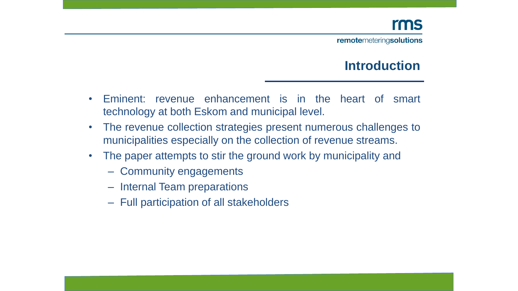#### **Introduction**

- Eminent: revenue enhancement is in the heart of smart technology at both Eskom and municipal level.
- The revenue collection strategies present numerous challenges to municipalities especially on the collection of revenue streams.
- The paper attempts to stir the ground work by municipality and
	- Community engagements
	- Internal Team preparations
	- Full participation of all stakeholders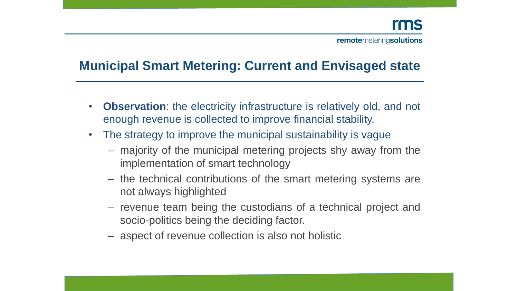## **Municipal Smart Metering: Current and Envisaged state**

- **Observation**: the electricity infrastructure is relatively old, and not enough revenue is collected to improve financial stability.
- The strategy to improve the municipal sustainability is vague
	- majority of the municipal metering projects shy away from the implementation of smart technology
	- the technical contributions of the smart metering systems are not always highlighted
	- revenue team being the custodians of a technical project and socio-politics being the deciding factor.
	- aspect of revenue collection is also not holistic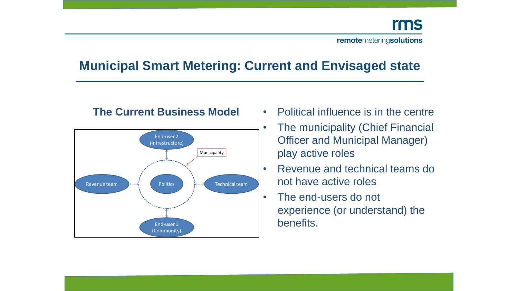## **Municipal Smart Metering: Current and Envisaged state**

#### **The Current Business Model**



- Political influence is in the centre
- The municipality (Chief Financial Officer and Municipal Manager) play active roles
- Revenue and technical teams do not have active roles
- The end-users do not experience (or understand) the benefits.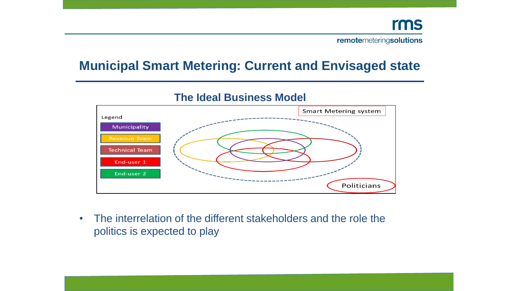#### **Municipal Smart Metering: Current and Envisaged state**



#### **The Ideal Business Model**

• The interrelation of the different stakeholders and the role the politics is expected to play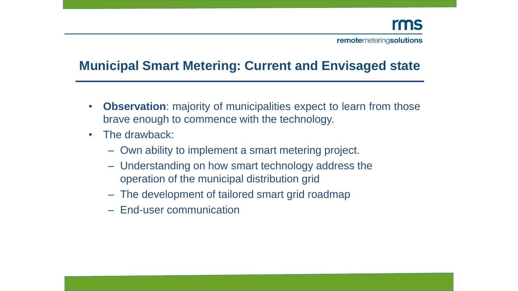## **Municipal Smart Metering: Current and Envisaged state**

- **Observation**: majority of municipalities expect to learn from those brave enough to commence with the technology.
- The drawback:
	- Own ability to implement a smart metering project.
	- Understanding on how smart technology address the operation of the municipal distribution grid
	- The development of tailored smart grid roadmap
	- End-user communication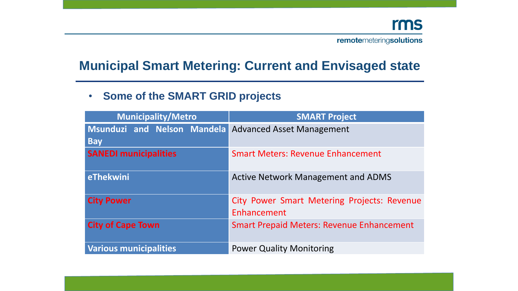#### **Municipal Smart Metering: Current and Envisaged state**

#### • **Some of the SMART GRID projects**

| <b>Municipality/Metro</b>                 | <b>SMART Project</b>                                              |
|-------------------------------------------|-------------------------------------------------------------------|
| Msunduzi and Nelson Mandela<br><b>Bay</b> | <b>Advanced Asset Management</b>                                  |
| <b>SANEDI municipalities</b>              | <b>Smart Meters: Revenue Enhancement</b>                          |
| eThekwini                                 | <b>Active Network Management and ADMS</b>                         |
| <b>City Power</b>                         | <b>City Power Smart Metering Projects: Revenue</b><br>Enhancement |
| <b>City of Cape Town</b>                  | <b>Smart Prepaid Meters: Revenue Enhancement</b>                  |
| <b>Various municipalities</b>             | <b>Power Quality Monitoring</b>                                   |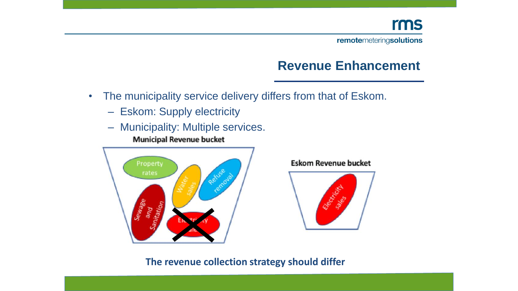#### **Revenue Enhancement**

- The municipality service delivery differs from that of Eskom.
	- Eskom: Supply electricity
	- Municipality: Multiple services. **Municipal Revenue bucket**



#### **Eskom Revenue bucket**



**The revenue collection strategy should differ**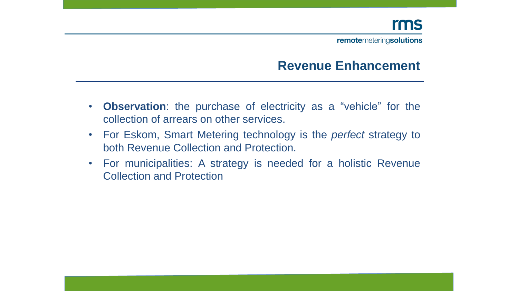#### **Revenue Enhancement**

- **Observation**: the purchase of electricity as a "vehicle" for the collection of arrears on other services.
- For Eskom, Smart Metering technology is the *perfect* strategy to both Revenue Collection and Protection.
- For municipalities: A strategy is needed for a holistic Revenue Collection and Protection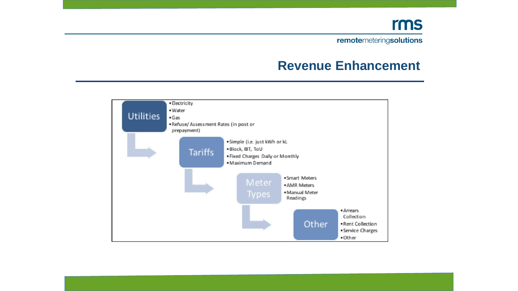#### rms

remotemeteringsolutions

#### **Revenue Enhancement**